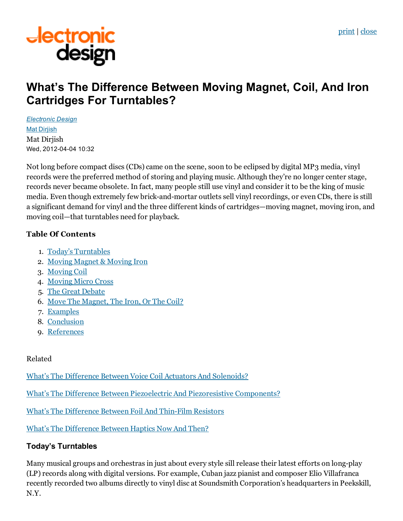[print](javascript:window.print();) | [close](javascript:window.close())

# **Jectronic<br>design**

# What's The Difference Between Moving Magnet, Coil, And Iron Cartridges For Turntables?

*[Electronic](http://electronicdesign.com/electronic-design-0) Design* Mat [Dirjish](http://electronicdesign.com/author/mat-dirjish) Mat Dirjish Wed, 2012-04-04 10:32

Not long before compact discs (CDs) came on the scene, soon to be eclipsed by digital MP3 media, vinyl records were the preferred method of storing and playing music. Although they're no longer center stage, records never became obsolete. In fact, many people still use vinyl and consider it to be the king of music media. Even though extremely few brick-and-mortar outlets sell vinyl recordings, or even CDs, there is still a significant demand for vinyl and the three different kinds of cartridges—moving magnet, moving iron, and moving coil—that turntables need for playback.

### Table Of Contents

- 1. Today's [Turntables](http://electronicdesign.com/article/components/whats-difference-moving-magnet-coil-iron-cartridges-turntables-73698#1)
- 2. Moving Magnet & [Moving](http://electronicdesign.com/article/components/whats-difference-moving-magnet-coil-iron-cartridges-turntables-73698#2) Iron
- 3. [Moving](http://electronicdesign.com/article/components/whats-difference-moving-magnet-coil-iron-cartridges-turntables-73698#3) Coil
- 4. [Moving](http://electronicdesign.com/article/components/whats-difference-moving-magnet-coil-iron-cartridges-turntables-73698#4) Micro Cross
- 5. The Great [Debate](http://electronicdesign.com/article/components/whats-difference-moving-magnet-coil-iron-cartridges-turntables-73698#5)
- 6. Move The [Magnet,](http://electronicdesign.com/article/components/whats-difference-moving-magnet-coil-iron-cartridges-turntables-73698#6) The Iron, Or The Coil?
- 7. [Examples](http://electronicdesign.com/article/components/whats-difference-moving-magnet-coil-iron-cartridges-turntables-73698#7)
- 8. [Conclusion](http://electronicdesign.com/article/components/whats-difference-moving-magnet-coil-iron-cartridges-turntables-73698#8)
- 9. [References](http://electronicdesign.com/article/components/whats-difference-moving-magnet-coil-iron-cartridges-turntables-73698#9)

### Related

What's The Difference Between Voice Coil Actuators And [Solenoids?](http://electronicdesign.com/components/what-s-difference-between-voice-coil-actuators-and-solenoids)

What's The Difference Between Piezoelectric And [Piezoresistive](http://electronicdesign.com/components/what-s-difference-between-piezoelectric-and-piezoresistive-components) Components?

What's The [Difference](http://electronicdesign.com/components/what-s-difference-between-foil-and-thin-film-resistors) Between Foil And Thin-Film Resistors

What's The [Difference](http://electronicdesign.com/components/what-s-difference-between-haptics-now-and-then) Between Haptics Now And Then?

# Today's Turntables

Many musical groups and orchestras in just about every style sill release their latest efforts on long-play (LP) records along with digital versions. For example, Cuban jazz pianist and composer Elio Villafranca recently recorded two albums directly to vinyl disc at Soundsmith Corporation's headquarters in Peekskill, N.Y.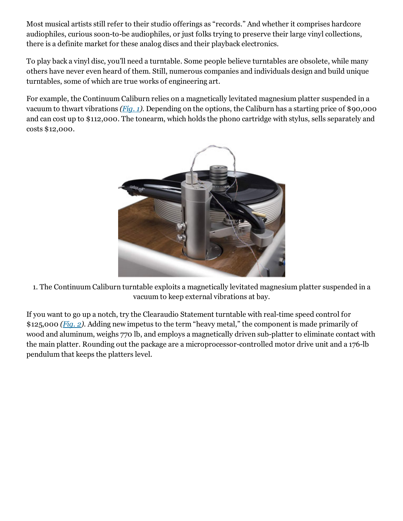Most musical artists still refer to their studio offerings as "records." And whether it comprises hardcore audiophiles, curious soon-to-be audiophiles, or just folks trying to preserve their large vinyl collections, there is a definite market for these analog discs and their playback electronics.

To play back a vinyl disc, you'll need a turntable. Some people believe turntables are obsolete, while many others have never even heard of them. Still, numerous companies and individuals design and build unique turntables, some of which are true works of engineering art.

For example, the Continuum Caliburn relies on a magnetically levitated magnesium platter suspended in a vacuum to thwart vibrations [\(Fig.](http://electronicdesign.com/content/content/73698/73698-fig1.jpg) 1). Depending on the options, the Caliburn has a starting price of \$90,000 and can cost up to \$112,000. The tonearm, which holds the phono cartridge with stylus, sells separately and costs \$12,000.



1. The Continuum Caliburn turntable exploits a magnetically levitated magnesium platter suspended in a vacuum to keep external vibrations at bay.

If you want to go up a notch, try the Clearaudio Statement turntable with real-time speed control for \$125,000 [\(Fig.](http://electronicdesign.com/content/content/73698/73698-fig2.jpg) 2). Adding new impetus to the term "heavy metal," the component is made primarily of wood and aluminum, weighs 770 lb, and employs a magnetically driven sub-platter to eliminate contact with the main platter. Rounding out the package are a microprocessor-controlled motor drive unit and a 176-lb pendulum that keeps the platters level.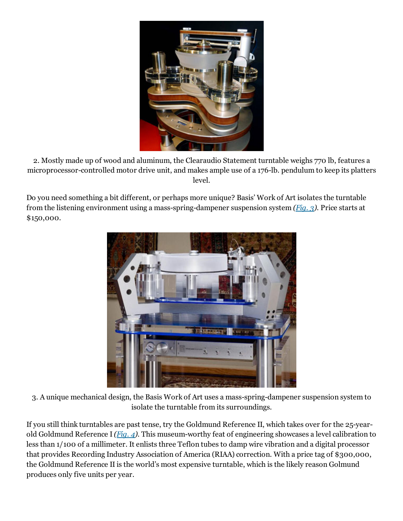

2. Mostly made up of wood and aluminum, the Clearaudio Statement turntable weighs 770 lb, features a microprocessor-controlled motor drive unit, and makes ample use of a 176-lb. pendulum to keep its platters level.

Do you need something a bit different, or perhaps more unique? Basis' Work of Art isolates the turntable from the listening environment using a mass-spring-dampener suspension system  $(Fia. 3)$ . Price starts at \$150,000.



3. A unique mechanical design, the Basis Work of Art uses a mass-spring-dampener suspension system to isolate the turntable from its surroundings.

If you still think turntables are past tense, try the Goldmund Reference II, which takes over for the 25-year-old Goldmund Reference I [\(Fig.](http://electronicdesign.com/content/content/73698/73698-fig4.jpg) 4). This museum-worthy feat of engineering showcases a level calibration to less than 1/100 of a millimeter. It enlists three Teflon tubes to damp wire vibration and a digital processor that provides Recording Industry Association of America (RIAA) correction. With a price tag of \$300,000, the Goldmund Reference II is the world's most expensive turntable, which is the likely reason Golmund produces only five units per year.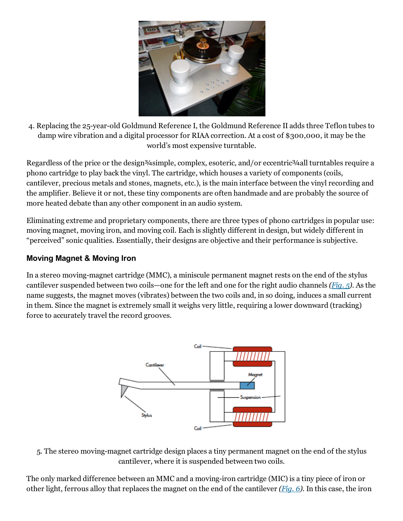

4. Replacing the 25-year-old Goldmund Reference I, the Goldmund Reference II adds three Teflon tubes to damp wire vibration and a digital processor for RIAA correction. At a cost of \$300,000, it may be the world's most expensive turntable.

Regardless of the price or the design<sup>3</sup>/4 simple, complex, esoteric, and/or eccentric<sup>3</sup>/4 all turntables require a phono cartridge to play back the vinyl. The cartridge, which houses a variety of components (coils, cantilever, precious metals and stones, magnets, etc.), is the main interface between the vinyl recording and the amplifier. Believe it or not, these tiny components are often handmade and are probably the source of more heated debate than any other component in an audio system.

Eliminating extreme and proprietary components, there are three types of phono cartridges in popular use: moving magnet, moving iron, and moving coil. Each is slightly different in design, but widely different in "perceived" sonic qualities. Essentially, their designs are objective and their performance is subjective.

#### Moving Magnet & Moving Iron

In a stereo moving-magnet cartridge (MMC), a miniscule permanent magnet rests on the end of the stylus cantilever suspended between two coils—one for the left and one for the right audio channels [\(Fig.](http://electronicdesign.com/content/content/73698/73698-fig5.gif) 5). As the name suggests, the magnet moves (vibrates) between the two coils and, in so doing, induces a small current in them. Since the magnet is extremely small it weighs very little, requiring a lower downward (tracking) force to accurately travel the record grooves.



5. The stereo moving-magnet cartridge design places a tiny permanent magnet on the end of the stylus cantilever, where it is suspended between two coils.

The only marked difference between an MMC and a moving-iron cartridge (MIC) is a tiny piece of iron or other light, ferrous alloy that replaces the magnet on the end of the cantilever  $(Fiq, 6)$ . In this case, the iron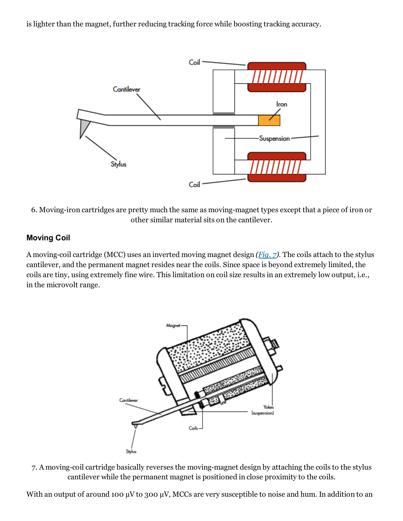is lighter than the magnet, further reducing tracking force while boosting tracking accuracy.



6. Moving-iron cartridges are pretty much the same as moving-magnet types except that a piece of iron or other similar material sits on the cantilever.

#### Moving Coil

A moving-coil cartridge (MCC) uses an inverted moving magnet design  $(Fia. z)$ . The coils attach to the stylus cantilever, and the permanent magnet resides near the coils. Since space is beyond extremely limited, the coils are tiny, using extremely fine wire. This limitation on coil size results in an extremely low output, i.e., in the microvolt range.



7. A moving-coil cartridge basically reverses the moving-magnet design by attaching the coils to the stylus cantilever while the permanent magnet is positioned in close proximity to the coils.

With an output of around 100  $\mu$ V to 300  $\mu$ V, MCCs are very susceptible to noise and hum. In addition to an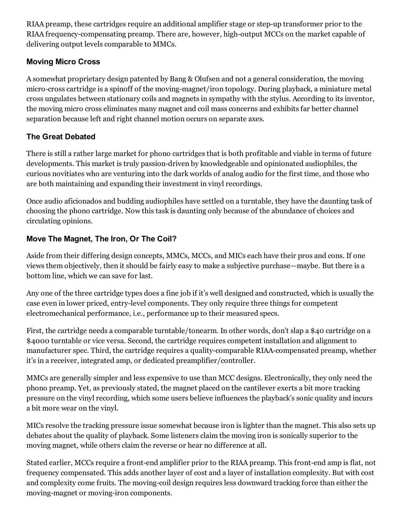RIAA preamp, these cartridges require an additional amplifier stage or step-up transformer prior to the RIAA frequency-compensating preamp. There are, however, high-output MCCs on the market capable of delivering output levels comparable to MMCs.

# Moving Micro Cross

A somewhat proprietary design patented by Bang & Olufsen and not a general consideration, the moving micro-cross cartridge is a spinoff of the moving-magnet/iron topology. During playback, a miniature metal cross ungulates between stationary coils and magnets in sympathy with the stylus. According to its inventor, the moving micro cross eliminates many magnet and coil mass concerns and exhibits far better channel separation because left and right channel motion occurs on separate axes.

# The Great Debated

There is still a rather large market for phono cartridges that is both profitable and viable in terms of future developments. This market is truly passion-driven by knowledgeable and opinionated audiophiles, the curious novitiates who are venturing into the dark worlds of analog audio for the first time, and those who are both maintaining and expanding their investment in vinyl recordings.

Once audio aficionados and budding audiophiles have settled on a turntable, they have the daunting task of choosing the phono cartridge. Now this task is daunting only because of the abundance of choices and circulating opinions.

# Move The Magnet, The Iron, Or The Coil?

Aside from their differing design concepts, MMCs, MCCs, and MICs each have their pros and cons. If one views them objectively, then it should be fairly easy to make a subjective purchase—maybe. But there is a bottom line, which we can save for last.

Any one of the three cartridge types does a fine job if it's well designed and constructed, which is usually the case even in lower priced, entrylevel components. They only require three things for competent electromechanical performance, i.e., performance up to their measured specs.

First, the cartridge needs a comparable turntable/tonearm. In other words, don't slap a \$40 cartridge on a \$4000 turntable or vice versa. Second, the cartridge requires competent installation and alignment to manufacturer spec. Third, the cartridge requires a quality-comparable RIAA-compensated preamp, whether it's in a receiver, integrated amp, or dedicated preamplifier/controller.

MMCs are generally simpler and less expensive to use than MCC designs. Electronically, they only need the phono preamp. Yet, as previously stated, the magnet placed on the cantilever exerts a bit more tracking pressure on the vinyl recording, which some users believe influences the playback's sonic quality and incurs a bit more wear on the vinyl.

MICs resolve the tracking pressure issue somewhat because iron is lighter than the magnet. This also sets up debates about the quality of playback. Some listeners claim the moving iron is sonically superior to the moving magnet, while others claim the reverse or hear no difference at all.

Stated earlier, MCCs require a front-end amplifier prior to the RIAA preamp. This front-end amp is flat, not frequency compensated. This adds another layer of cost and a layer of installation complexity. But with cost and complexity come fruits. The moving-coil design requires less downward tracking force than either the moving-magnet or moving-iron components.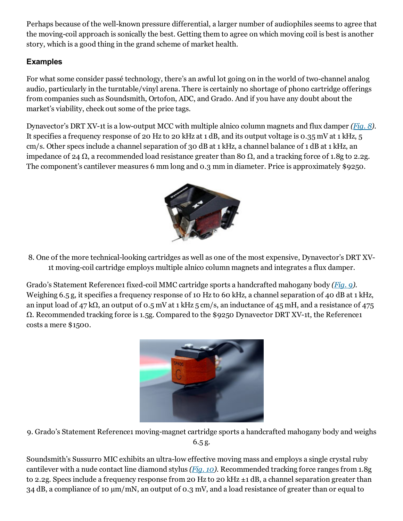Perhaps because of the well-known pressure differential, a larger number of audiophiles seems to agree that the moving-coil approach is sonically the best. Getting them to agree on which moving coil is best is another story, which is a good thing in the grand scheme of market health.

# Examples

For what some consider passé technology, there's an awful lot going on in the world of two-channel analog audio, particularly in the turntable/vinyl arena. There is certainly no shortage of phono cartridge offerings from companies such as Soundsmith, Ortofon, ADC, and Grado. And if you have any doubt about the market's viability, check out some of the price tags.

Dynavector's DRT XV-1t is a low-output MCC with multiple alnico column magnets and flux damper ([Fig.](http://electronicdesign.com/content/content/73698/73698-fig8.jpg) 8). It specifies a frequency response of 20 Hz to 20 kHz at 1 dB, and its output voltage is 0.35 mV at 1 kHz, 5 cm/s. Other specs include a channel separation of 30 dB at 1 kHz, a channel balance of 1 dB at 1 kHz, an impedance of 24 Ω, a recommended load resistance greater than 80 Ω, and a tracking force of 1.8g to 2.2g. The component's cantilever measures 6 mm long and 0.3 mm in diameter. Price is approximately \$9250.



8. One of the more technical-looking cartridges as well as one of the most expensive, Dynavector's DRT XV-1t moving-coil cartridge employs multiple alnico column magnets and integrates a flux damper.

Grado's Statement Reference1 fixed-coil MMC cartridge sports a handcrafted mahogany body [\(Fig.](http://electronicdesign.com/content/content/73698/73698-fig9.jpg) 9). Weighing 6.5 g, it specifies a frequency response of 10 Hz to 60 kHz, a channel separation of 40 dB at 1 kHz, an input load of 47 kΩ, an output of 0.5 mV at 1 kHz 5 cm/s, an inductance of 45 mH, and a resistance of 475  $\Omega$ . Recommended tracking force is 1.5g. Compared to the \$9250 Dynavector DRT XV-1t, the Reference1 costs a mere \$1500.



9. Grado's Statement Reference1 moving-magnet cartridge sports a handcrafted mahogany body and weighs 6.5 g.

Soundsmith's Sussurro MIC exhibits an ultra-low effective moving mass and employs a single crystal ruby cantilever with a nude contact line diamond stylus ([Fig.](http://electronicdesign.com/content/content/73698/73698-fig10.jpg) 10). Recommended tracking force ranges from 1.8g to 2.2g. Specs include a frequency response from 20 Hz to 20 kHz ±1 dB, a channel separation greater than 34 dB, a compliance of 10 µm/mN, an output of 0.3 mV, and a load resistance of greater than or equal to